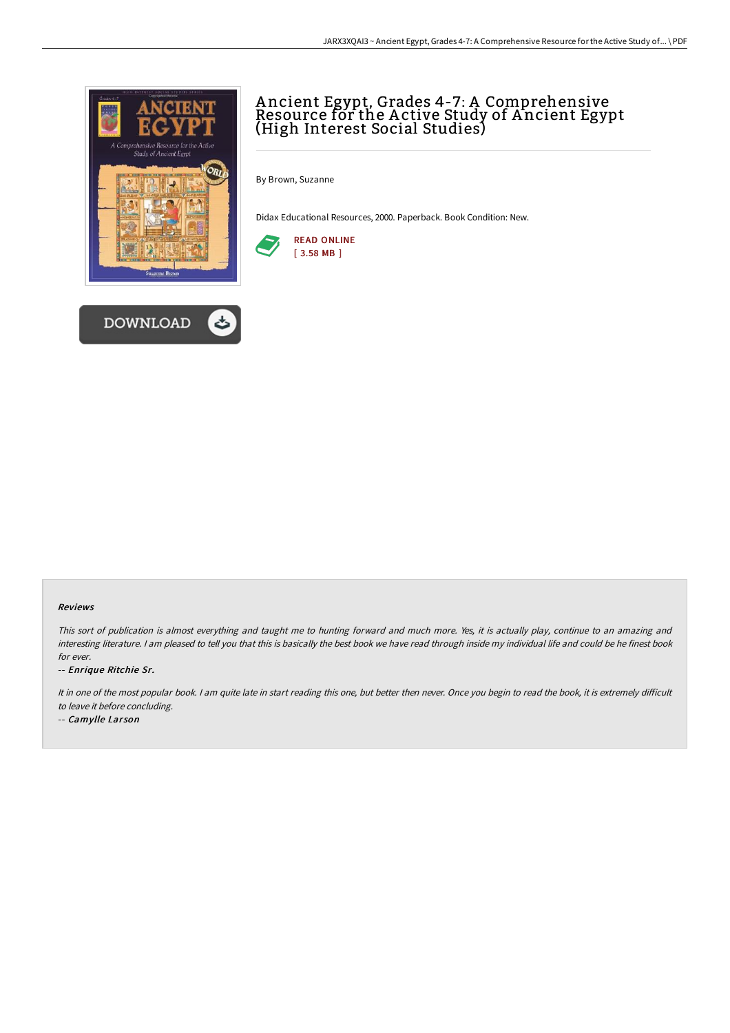

# A ncient Egypt, Grades 4-7: A Comprehensive Resource for the A ctive Study of A ncient Egypt (High Interest Social Studies)

By Brown, Suzanne

Didax Educational Resources, 2000. Paperback. Book Condition: New.



#### Reviews

This sort of publication is almost everything and taught me to hunting forward and much more. Yes, it is actually play, continue to an amazing and interesting literature. <sup>I</sup> am pleased to tell you that this is basically the best book we have read through inside my individual life and could be he finest book for ever.

-- Enrique Ritchie Sr.

It in one of the most popular book. I am quite late in start reading this one, but better then never. Once you begin to read the book, it is extremely difficult to leave it before concluding.

-- Camylle Larson